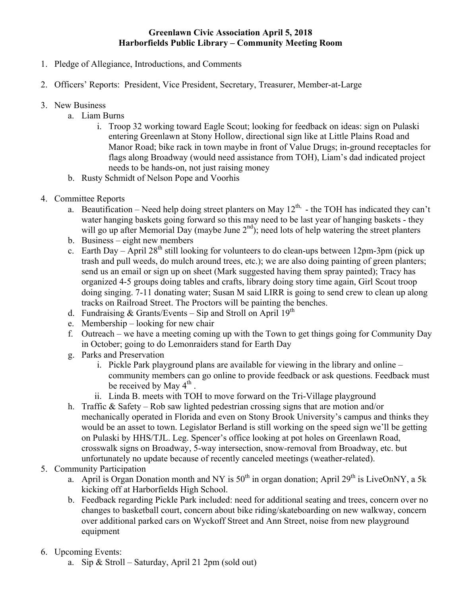## **Greenlawn Civic Association April 5, 2018 Harborfields Public Library – Community Meeting Room**

- 1. Pledge of Allegiance, Introductions, and Comments
- 2. Officers' Reports: President, Vice President, Secretary, Treasurer, Member-at-Large
- 3. New Business
	- a. Liam Burns
		- i. Troop 32 working toward Eagle Scout; looking for feedback on ideas: sign on Pulaski entering Greenlawn at Stony Hollow, directional sign like at Little Plains Road and Manor Road; bike rack in town maybe in front of Value Drugs; in-ground receptacles for flags along Broadway (would need assistance from TOH), Liam's dad indicated project needs to be hands-on, not just raising money
	- b. Rusty Schmidt of Nelson Pope and Voorhis
- 4. Committee Reports
	- a. Beautification Need help doing street planters on May  $12^{th}$  the TOH has indicated they can't water hanging baskets going forward so this may need to be last year of hanging baskets - they will go up after Memorial Day (maybe June  $2<sup>nd</sup>$ ); need lots of help watering the street planters
	- b. Business eight new members
	- c. Earth Day April 28<sup>th</sup> still looking for volunteers to do clean-ups between 12pm-3pm (pick up trash and pull weeds, do mulch around trees, etc.); we are also doing painting of green planters; send us an email or sign up on sheet (Mark suggested having them spray painted); Tracy has organized 4-5 groups doing tables and crafts, library doing story time again, Girl Scout troop doing singing. 7-11 donating water; Susan M said LIRR is going to send crew to clean up along tracks on Railroad Street. The Proctors will be painting the benches.
	- d. Fundraising  $& Grants/Events Sip$  and Stroll on April 19<sup>th</sup>
	- e. Membership looking for new chair
	- f. Outreach we have a meeting coming up with the Town to get things going for Community Day in October; going to do Lemonraiders stand for Earth Day
	- g. Parks and Preservation
		- i. Pickle Park playground plans are available for viewing in the library and online community members can go online to provide feedback or ask questions. Feedback must be received by May 4<sup>th</sup>.
		- ii. Linda B. meets with TOH to move forward on the Tri-Village playground
	- h. Traffic & Safety Rob saw lighted pedestrian crossing signs that are motion and/or mechanically operated in Florida and even on Stony Brook University's campus and thinks they would be an asset to town. Legislator Berland is still working on the speed sign we'll be getting on Pulaski by HHS/TJL. Leg. Spencer's office looking at pot holes on Greenlawn Road, crosswalk signs on Broadway, 5-way intersection, snow-removal from Broadway, etc. but unfortunately no update because of recently canceled meetings (weather-related).
- 5. Community Participation
	- a. April is Organ Donation month and NY is  $50<sup>th</sup>$  in organ donation; April 29<sup>th</sup> is LiveOnNY, a 5k kicking off at Harborfields High School.
	- b. Feedback regarding Pickle Park included: need for additional seating and trees, concern over no changes to basketball court, concern about bike riding/skateboarding on new walkway, concern over additional parked cars on Wyckoff Street and Ann Street, noise from new playground equipment
- 6. Upcoming Events:
	- a. Sip & Stroll Saturday, April 21 2pm (sold out)